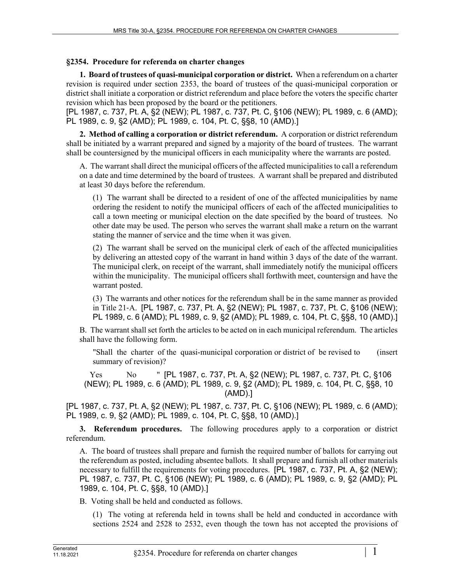## **§2354. Procedure for referenda on charter changes**

**1. Board of trustees of quasi-municipal corporation or district.** When a referendum on a charter revision is required under section 2353, the board of trustees of the quasi-municipal corporation or district shall initiate a corporation or district referendum and place before the voters the specific charter revision which has been proposed by the board or the petitioners.

[PL 1987, c. 737, Pt. A, §2 (NEW); PL 1987, c. 737, Pt. C, §106 (NEW); PL 1989, c. 6 (AMD); PL 1989, c. 9, §2 (AMD); PL 1989, c. 104, Pt. C, §§8, 10 (AMD).]

**2. Method of calling a corporation or district referendum.** A corporation or district referendum shall be initiated by a warrant prepared and signed by a majority of the board of trustees. The warrant shall be countersigned by the municipal officers in each municipality where the warrants are posted.

A. The warrant shall direct the municipal officers of the affected municipalities to call a referendum on a date and time determined by the board of trustees. A warrant shall be prepared and distributed at least 30 days before the referendum.

(1) The warrant shall be directed to a resident of one of the affected municipalities by name ordering the resident to notify the municipal officers of each of the affected municipalities to call a town meeting or municipal election on the date specified by the board of trustees. No other date may be used. The person who serves the warrant shall make a return on the warrant stating the manner of service and the time when it was given.

(2) The warrant shall be served on the municipal clerk of each of the affected municipalities by delivering an attested copy of the warrant in hand within 3 days of the date of the warrant. The municipal clerk, on receipt of the warrant, shall immediately notify the municipal officers within the municipality. The municipal officers shall forthwith meet, countersign and have the warrant posted.

(3) The warrants and other notices for the referendum shall be in the same manner as provided in Title 21‑A. [PL 1987, c. 737, Pt. A, §2 (NEW); PL 1987, c. 737, Pt. C, §106 (NEW); PL 1989, c. 6 (AMD); PL 1989, c. 9, §2 (AMD); PL 1989, c. 104, Pt. C, §§8, 10 (AMD).]

B. The warrant shall set forth the articles to be acted on in each municipal referendum. The articles shall have the following form.

"Shall the charter of the quasi-municipal corporation or district of be revised to (insert summary of revision)?

Yes No " [PL 1987, c. 737, Pt. A, §2 (NEW); PL 1987, c. 737, Pt. C, §106 (NEW); PL 1989, c. 6 (AMD); PL 1989, c. 9, §2 (AMD); PL 1989, c. 104, Pt. C, §§8, 10 (AMD).]

[PL 1987, c. 737, Pt. A, §2 (NEW); PL 1987, c. 737, Pt. C, §106 (NEW); PL 1989, c. 6 (AMD); PL 1989, c. 9, §2 (AMD); PL 1989, c. 104, Pt. C, §§8, 10 (AMD).]

**3. Referendum procedures.** The following procedures apply to a corporation or district referendum.

A. The board of trustees shall prepare and furnish the required number of ballots for carrying out the referendum as posted, including absentee ballots. It shall prepare and furnish all other materials necessary to fulfill the requirements for voting procedures. [PL 1987, c. 737, Pt. A, §2 (NEW); PL 1987, c. 737, Pt. C, §106 (NEW); PL 1989, c. 6 (AMD); PL 1989, c. 9, §2 (AMD); PL 1989, c. 104, Pt. C, §§8, 10 (AMD).]

B. Voting shall be held and conducted as follows.

(1) The voting at referenda held in towns shall be held and conducted in accordance with sections 2524 and 2528 to 2532, even though the town has not accepted the provisions of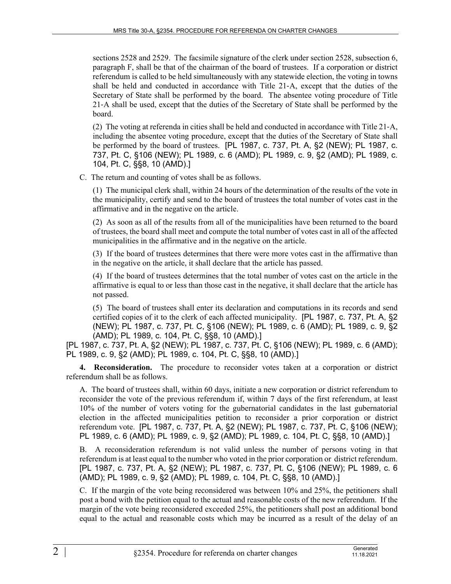sections 2528 and 2529. The facsimile signature of the clerk under section 2528, subsection 6, paragraph F, shall be that of the chairman of the board of trustees. If a corporation or district referendum is called to be held simultaneously with any statewide election, the voting in towns shall be held and conducted in accordance with Title 21‑A, except that the duties of the Secretary of State shall be performed by the board. The absentee voting procedure of Title 21‑A shall be used, except that the duties of the Secretary of State shall be performed by the board.

(2) The voting at referenda in cities shall be held and conducted in accordance with Title 21‑A, including the absentee voting procedure, except that the duties of the Secretary of State shall be performed by the board of trustees. [PL 1987, c. 737, Pt. A, §2 (NEW); PL 1987, c. 737, Pt. C, §106 (NEW); PL 1989, c. 6 (AMD); PL 1989, c. 9, §2 (AMD); PL 1989, c. 104, Pt. C, §§8, 10 (AMD).]

C. The return and counting of votes shall be as follows.

(1) The municipal clerk shall, within 24 hours of the determination of the results of the vote in the municipality, certify and send to the board of trustees the total number of votes cast in the affirmative and in the negative on the article.

(2) As soon as all of the results from all of the municipalities have been returned to the board of trustees, the board shall meet and compute the total number of votes cast in all of the affected municipalities in the affirmative and in the negative on the article.

(3) If the board of trustees determines that there were more votes cast in the affirmative than in the negative on the article, it shall declare that the article has passed.

(4) If the board of trustees determines that the total number of votes cast on the article in the affirmative is equal to or less than those cast in the negative, it shall declare that the article has not passed.

(5) The board of trustees shall enter its declaration and computations in its records and send certified copies of it to the clerk of each affected municipality. [PL 1987, c. 737, Pt. A, §2 (NEW); PL 1987, c. 737, Pt. C, §106 (NEW); PL 1989, c. 6 (AMD); PL 1989, c. 9, §2 (AMD); PL 1989, c. 104, Pt. C, §§8, 10 (AMD).]

[PL 1987, c. 737, Pt. A, §2 (NEW); PL 1987, c. 737, Pt. C, §106 (NEW); PL 1989, c. 6 (AMD); PL 1989, c. 9, §2 (AMD); PL 1989, c. 104, Pt. C, §§8, 10 (AMD).]

**4. Reconsideration.** The procedure to reconsider votes taken at a corporation or district referendum shall be as follows.

A. The board of trustees shall, within 60 days, initiate a new corporation or district referendum to reconsider the vote of the previous referendum if, within 7 days of the first referendum, at least 10% of the number of voters voting for the gubernatorial candidates in the last gubernatorial election in the affected municipalities petition to reconsider a prior corporation or district referendum vote. [PL 1987, c. 737, Pt. A, §2 (NEW); PL 1987, c. 737, Pt. C, §106 (NEW); PL 1989, c. 6 (AMD); PL 1989, c. 9, §2 (AMD); PL 1989, c. 104, Pt. C, §§8, 10 (AMD).]

B. A reconsideration referendum is not valid unless the number of persons voting in that referendum is at least equal to the number who voted in the prior corporation or district referendum. [PL 1987, c. 737, Pt. A, §2 (NEW); PL 1987, c. 737, Pt. C, §106 (NEW); PL 1989, c. 6 (AMD); PL 1989, c. 9, §2 (AMD); PL 1989, c. 104, Pt. C, §§8, 10 (AMD).]

C. If the margin of the vote being reconsidered was between 10% and 25%, the petitioners shall post a bond with the petition equal to the actual and reasonable costs of the new referendum. If the margin of the vote being reconsidered exceeded 25%, the petitioners shall post an additional bond equal to the actual and reasonable costs which may be incurred as a result of the delay of an